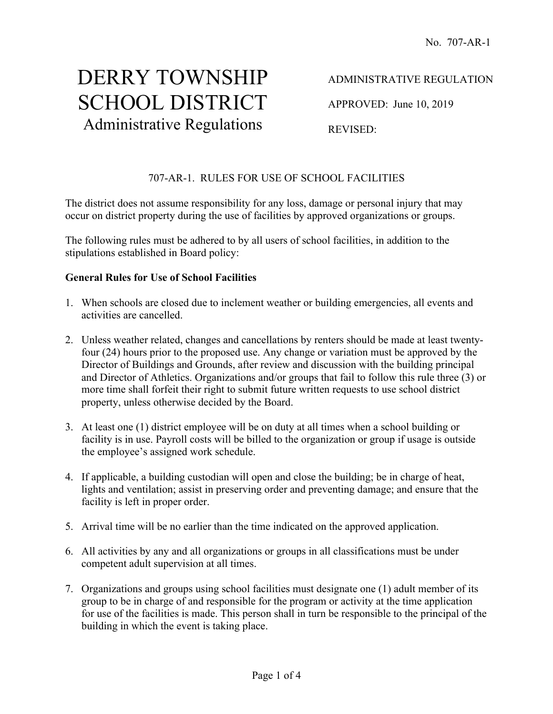# DERRY TOWNSHIP SCHOOL DISTRICT Administrative Regulations

APPROVED: June 10, 2019

REVISED:

# 707-AR-1. RULES FOR USE OF SCHOOL FACILITIES

The district does not assume responsibility for any loss, damage or personal injury that may occur on district property during the use of facilities by approved organizations or groups.

The following rules must be adhered to by all users of school facilities, in addition to the stipulations established in Board policy:

#### **General Rules for Use of School Facilities**

- 1. When schools are closed due to inclement weather or building emergencies, all events and activities are cancelled.
- 2. Unless weather related, changes and cancellations by renters should be made at least twentyfour (24) hours prior to the proposed use. Any change or variation must be approved by the Director of Buildings and Grounds, after review and discussion with the building principal and Director of Athletics. Organizations and/or groups that fail to follow this rule three (3) or more time shall forfeit their right to submit future written requests to use school district property, unless otherwise decided by the Board.
- 3. At least one (1) district employee will be on duty at all times when a school building or facility is in use. Payroll costs will be billed to the organization or group if usage is outside the employee's assigned work schedule.
- 4. If applicable, a building custodian will open and close the building; be in charge of heat, lights and ventilation; assist in preserving order and preventing damage; and ensure that the facility is left in proper order.
- 5. Arrival time will be no earlier than the time indicated on the approved application.
- 6. All activities by any and all organizations or groups in all classifications must be under competent adult supervision at all times.
- 7. Organizations and groups using school facilities must designate one (1) adult member of its group to be in charge of and responsible for the program or activity at the time application for use of the facilities is made. This person shall in turn be responsible to the principal of the building in which the event is taking place.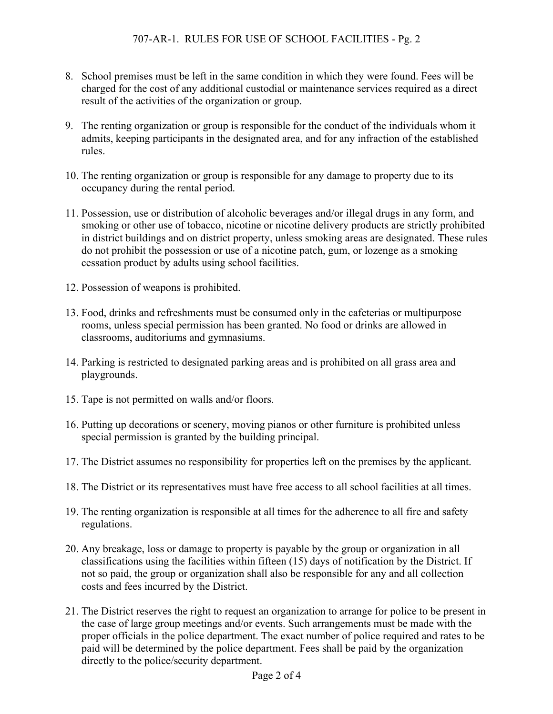- 8. School premises must be left in the same condition in which they were found. Fees will be charged for the cost of any additional custodial or maintenance services required as a direct result of the activities of the organization or group.
- 9. The renting organization or group is responsible for the conduct of the individuals whom it admits, keeping participants in the designated area, and for any infraction of the established rules.
- 10. The renting organization or group is responsible for any damage to property due to its occupancy during the rental period.
- 11. Possession, use or distribution of alcoholic beverages and/or illegal drugs in any form, and smoking or other use of tobacco, nicotine or nicotine delivery products are strictly prohibited in district buildings and on district property, unless smoking areas are designated. These rules do not prohibit the possession or use of a nicotine patch, gum, or lozenge as a smoking cessation product by adults using school facilities.
- 12. Possession of weapons is prohibited.
- 13. Food, drinks and refreshments must be consumed only in the cafeterias or multipurpose rooms, unless special permission has been granted. No food or drinks are allowed in classrooms, auditoriums and gymnasiums.
- 14. Parking is restricted to designated parking areas and is prohibited on all grass area and playgrounds.
- 15. Tape is not permitted on walls and/or floors.
- 16. Putting up decorations or scenery, moving pianos or other furniture is prohibited unless special permission is granted by the building principal.
- 17. The District assumes no responsibility for properties left on the premises by the applicant.
- 18. The District or its representatives must have free access to all school facilities at all times.
- 19. The renting organization is responsible at all times for the adherence to all fire and safety regulations.
- 20. Any breakage, loss or damage to property is payable by the group or organization in all classifications using the facilities within fifteen (15) days of notification by the District. If not so paid, the group or organization shall also be responsible for any and all collection costs and fees incurred by the District.
- 21. The District reserves the right to request an organization to arrange for police to be present in the case of large group meetings and/or events. Such arrangements must be made with the proper officials in the police department. The exact number of police required and rates to be paid will be determined by the police department. Fees shall be paid by the organization directly to the police/security department.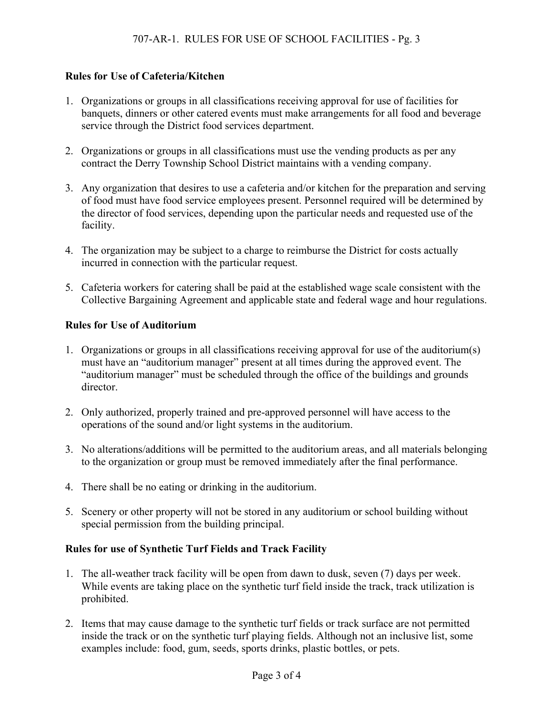# **Rules for Use of Cafeteria/Kitchen**

- 1. Organizations or groups in all classifications receiving approval for use of facilities for banquets, dinners or other catered events must make arrangements for all food and beverage service through the District food services department.
- 2. Organizations or groups in all classifications must use the vending products as per any contract the Derry Township School District maintains with a vending company.
- 3. Any organization that desires to use a cafeteria and/or kitchen for the preparation and serving of food must have food service employees present. Personnel required will be determined by the director of food services, depending upon the particular needs and requested use of the facility.
- 4. The organization may be subject to a charge to reimburse the District for costs actually incurred in connection with the particular request.
- 5. Cafeteria workers for catering shall be paid at the established wage scale consistent with the Collective Bargaining Agreement and applicable state and federal wage and hour regulations.

## **Rules for Use of Auditorium**

- 1. Organizations or groups in all classifications receiving approval for use of the auditorium(s) must have an "auditorium manager" present at all times during the approved event. The "auditorium manager" must be scheduled through the office of the buildings and grounds director.
- 2. Only authorized, properly trained and pre-approved personnel will have access to the operations of the sound and/or light systems in the auditorium.
- 3. No alterations/additions will be permitted to the auditorium areas, and all materials belonging to the organization or group must be removed immediately after the final performance.
- 4. There shall be no eating or drinking in the auditorium.
- 5. Scenery or other property will not be stored in any auditorium or school building without special permission from the building principal.

## **Rules for use of Synthetic Turf Fields and Track Facility**

- 1. The all-weather track facility will be open from dawn to dusk, seven (7) days per week. While events are taking place on the synthetic turf field inside the track, track utilization is prohibited.
- 2. Items that may cause damage to the synthetic turf fields or track surface are not permitted inside the track or on the synthetic turf playing fields. Although not an inclusive list, some examples include: food, gum, seeds, sports drinks, plastic bottles, or pets.